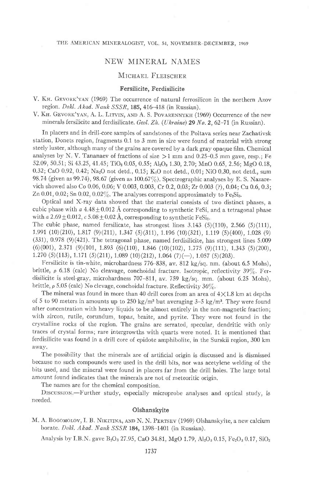# NEW MINERAL NAMES

# MICHAEL FLEISCHER

### Fersilicite, Ferdisilicite

V. KH. GEVORK'YAN (1969) The occurrence of natural ferrosilicon in the northern Azov region. Dokl. Akad. Nauk SSSR, 185, 416-418 (in Russian).

V. KH. GEVORK'YAN, A. L. LITVIN, AND A. S. POVARENNYKH (1969) Occurrence of the new minerals fersilicite and ferdisilicate. Geol. Zh. (Ukraine) 29 No. 2, 62-71 (in Russian).

In placers and in drill-core samples of sandstones of the Poltava series near Zachativsk station, Donets region, fragments 0.1 to 3 mm in size were found of material with strong steely luster, although many of the grains are covered by a dark gray opaque film. Chemical analyses by N. V. Tananaev of fractions of size  $>1$  mm and 0.25-0.5 mm gave, resp.; Fe 52.09, 50.51; Si 43.25, 41.45; TiO<sub>2</sub> 0.05, 0.55; Al<sub>2</sub>O<sub>3</sub> 1.30, 2.70; MnO 0.65, 2.56; MgO 0.18, 0.32; CaO 0.92, 0.42; Na<sub>2</sub>O not detd., 0.15; K<sub>2</sub>O not detd., 0.01; NiO 0.30, not detd., sum 98.74 (given as 99.74), 98.67 (given as  $100.67\%$ ). Spectrographic analyses by E. S. Nazarevich showed also Co 0.06, 0 06; V 0.003, 0.003, Cr 0.2, 0 03; Zr 0.O03 (?), 0.0a; Cu 0.6, 0.3; Zn 0.01, 0.02; Sn 0.02, 0.02%. The analyses correspond approximately to  $Fe<sub>2</sub>Si<sub>3</sub>$ .

Optical and X-ray data showed that the material consists of two distinct phases, a cubic phase with  $a 4.48 \pm 0.012$  Å corresponding to synthetic FeSi, and a tetragonal phase with a 2.69  $\pm$  0.012, c 5.08  $\pm$  0.02 Å, corresponding to synthetic FeSi<sub>2</sub>.

The cubic phase, named fersilicate, has strongest lines  $3.143$  (5)(110), 2.566 (5)(111), l.ee1 (10)(210), r.8r7 (9)(211), 1.347 (s)(311), 1.196 (10)(321), r.lre (s)(400), 1.028 (e) (331), 0.978 (9)(421). The tetragonal phase, named ferdisilicite, has strongest lines 5.009  $(6)(001)$ , 2.371  $(9)(101$ , 1.893  $(6)(110)$ , 1.846  $(10)(102)$ , 1.775  $(9)(111)$ , 1.343  $(5)(200)$ ,  $1.270$  (5)(113),  $1.171$  (5)(211),  $1.089$  (10)(212),  $1.064$  (7)(-),  $1.057$  (5)(203).

Fersilicite is tin-white, microhardness 776 838, av. 812 kg/sq. nm. (about 6.5 Mohs), brittle,  $\rho$  6.18 (calc) No cleavage, conchoidal fracture. Isotropic, reflectivity 39%. Ferdisilicite is steel-gray, microhardness  $707-811$ , av.  $759 \text{ kg/sq}$ . mm. (about 6.25 Mohs), brittle,  $\rho$  5.05 (calc) No clevage, conchoidal fracture. Reflectivity 36%.

The mineral was found in more than 40 drill cores from an area of  $4 \times 1.8$  km at depths of 5 to 90 meters in amounts up to 250 kg/m3 but averaging 3-5 kg/m3. They were found after concentration with heavy liquids to be almost entirely in the non-magnetic fraction; with zircon, rutile, corundum, topaz, braite, and pyrite. They were not found in the crystalline rocks of the region. The grains are serrated, specular, dendritic with only traces of crystal forms; rare intergrowths with quarts were noted. It is mentioned that ferdisilicite was found in a drill core of epidote amphibolite, in the Surskii region, 300 km away.

The possibility that the minerals are of artificial origin is discussed and is dismissed because no such compounds were used in the drill bits, nor was acetylene welding of the bits used, and the mineral were found in placers far from the drill holes. The large total amount found indicates that the minerals are not of meteoritic origin.

The names are for the chemical composition.

DISCUSSION--Further study, especially microprobe analyses and optical study, is needed.

### Olshanskyite

M. A. BOGOMOLOV, I. B. NIKITINA, AND N. N. PERTSEV (1969) Olshanskyite, a new calcium borate. Dokl. Akad. Nauk SSSR 184, 1398-1401 (in Russian).

Analysis by I.B.N. gave B<sub>2</sub>O<sub>3</sub> 27.95, CaO 34.81, MgO 1.79, Al<sub>2</sub>O<sub>3</sub> 0.15, Fe<sub>2</sub>O<sub>3</sub> 0.17, SiO<sub>2</sub>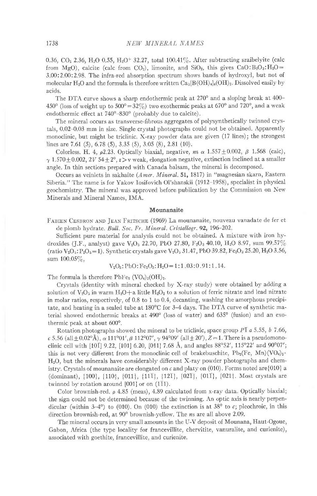0.36, CO<sub>2</sub> 2.36, H<sub>2</sub>O 0.55, H<sub>2</sub>O<sup>+</sup> 32.27, total 100.41%. After subtracting szaibelyite (calc from MgO), calcite (calc from CO<sub>2</sub>), limonite, and SiO<sub>2</sub>, this gives CaO:B<sub>2</sub>O<sub>3</sub>:H<sub>2</sub>O= 3 00:2.00:2.98. The infra-red absorption spectrum shon's bands of hydroxyl, but not of molecular H<sub>2</sub>O and the formula is therefore written  $Ca_3[B(OH)_4]_4(OH)_2$ . Dissolved easily by acids.

The DTA curve shows a sharp endothermic peak at 270° and a sloping break at 400-450° (loss of weight up to  $500^{\circ} = 32\%)$  two exothermic peaks at  $670^{\circ}$  and  $720^{\circ}$ , and a weak endothermic effect at 740°-830° (probably due to calcite).

The mineral occurs as transverse-fibrous aggregates of polysynthetically twinned crysta1s, 0.02-0.03 mm in size. Single crystal photographs could not be obtained. Apparently monoclinic, but might be triclinic. X-ray powder data are given (17 lines); the strongest lines are 7.61 (5), 6.78 (5), 3.35 (5), 3.05 (8), 2.81 (10).

Colorless. H. 4,  $\rho$ 2.23. Optically biaxial, negative,  $n s \propto 1.557 \pm 0.002$ ,  $\beta$  1.568 (calc),  $\gamma$  1.570 ± 0.002, 2V 54 ± 2°, r > v weak, elongation negative, extinction inclined at a smaller angle. In thin sections prepared with Canada balsam, the mineral is decomposed.

Occurs as veinlets in sakhaite (Amer. Mineral. 51, 1817) in "magnesian skarn, Eastern Siberia." The name is for Yakov Iosifovich Ol'shanskii (1912-1958), specialist in physicai geochemistry. The mineral was approved before publication by the Commission on New Minerals and Mineral Names. IMA.

#### Mounanaite

FABIEN CESBRON AND JEAN FRITSCHE (1969) La mounanaite, nouveau vanadate de fer et de plomb hydrate. Bull. Soc. Fr. Mineral. Cristallogr. 92, 196-202.

Sufficient pure material for analysis could not be obtained. A mixture with iron hydroxides (J.F., analyst) gave V<sub>2</sub>O<sub>5</sub> 22.70, PbO 27.80, F<sub>2</sub>O<sub>3</sub> 40.10, H<sub>2</sub>O 8.97, sum 99.57% (ratio  $V_2O_5$ : P<sub>2</sub> $O_5$  = 1). Synthetic crystals gave  $V_2O_5$  31.47, PbO 39.82, Fe<sub>2</sub> $O_3$  25.20, H<sub>2</sub>O 3.56, sum  $100.05\%$ ,

$$
V_2O_5
$$
: PbO: Fe<sub>2</sub>O<sub>3</sub>: H<sub>2</sub>O=1:1,03:0.91:1.14.

The formula is therefore  $PbFe<sub>2</sub> (VO<sub>4</sub>)<sub>2</sub>(OH)<sub>2</sub>$ .

Crystals (identity with mineral checked by X-ray study) were obtained by adding a solution of  $V_2O_5$  in warm  $H_2O+a$  little  $H_2O_2$  to a solution of ferric nitrate and lead nitrate in molar ratios, respectively, of  $0.8$  to  $1$  to  $0.4$ , decanting, washing the amorphous precipitate, and heating in a sealed tube at  $180^{\circ}$ C for 3-4 days. The DTA curve of synthetic material showed endothermic breaks at 490° (loss of water) and 635° (fusion) and an exothermic peak at about  $600^\circ$ .

Rotation photographs showed the mineral to be triclinic, space group  $P\bar{1}$  a 5.55, b 7.66, c 5.56 (all  $\pm$  0.02°Å),  $\alpha$  111°01',  $\beta$  112°07',  $\gamma$  94°09' (all  $\pm$  20'),  $Z=1$ . There is a pseudomonoclinic cell with [101] 9.22, [101] 6.20, [011] 7.68 Å, and angles 88°52', 115°22' and 90°07'; this is not very different from the monoclinic cell of brakebuschite,  $Pb_2(Fe, Mn)(VO_4)_2$ . H2O, but the minerals have considerably difierent X-ray powder photographs and chemistry. Crystals of mounanaite are elongated on c and platy on  $(010)$ . Forms noted are [010] a (dominant), {100}, {110}, {011}, {111}, {121}, {021}, {011}, {021}. Most crystals are twinned by rotation around  $[001]$  or on  $(1\bar{1}1)$ .

Color brownish-red.  $\rho$  4.85 (meas), 4.89 calculated from x-ray data. Optically biaxial; the sign could not be determined because of the twinning. An optic axis is nearly perpendicular (within 3-4°) to (010). On (010) the extinction is at 38° to  $c$ ; pleochroic, in this direction brownish-red, at  $90^{\circ}$  brownish-yellow. The *n*s are all above 2.09.

The mineral occurs in very small amounts in the Lr-V deposit of Mounana, Haut-Ogoue, Gabon, Africa (the type locality for francevillite, chervitite, vanuralite, and curienite), associated with goethite, francevillite, and curienite.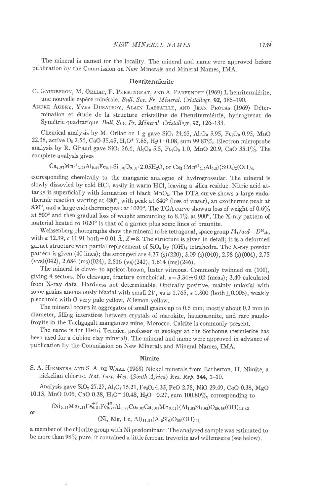The mineral is named tor the locality. The mineral and name were approved before publication by the Commission on New Minerals and Mineral Names, IMA.

### Henritermierite

- C. GAUDEFROY, M. ORLIAC, F. PERMINGEAT, AND A. PARFENOFF (1969) L'henritermiérite, une nouvelle espèce minérale. Bull. Soc. Fr. Mineral. Cristallogr. 92, 185-190.
- ANDRE AUBRY, YVES DUSAUSOY, ALAIN LAFFAILLE, AND JEAN PROTAS (1969) Détermination et étude de la structure cristalline de l'henritermiértie, hydrogrenat de Symétrie quadratique. Bull. Soc. Fr. Mineral. Cristallogr. 92, 126-133.

Chemical analysis by M. Orliac on 1 g gave  $SiO<sub>2</sub>$  24.65,  $Al<sub>2</sub>O<sub>8</sub>$  5.95,  $Fe<sub>2</sub>O<sub>3</sub>$  0.95, MnO 22.38, active O<sub>2</sub> 2.56, CaO 35.45, H<sub>2</sub>O<sup>+</sup> 7.85, H<sub>2</sub>O<sup>-</sup> 0.08, sum 99.87%. Electron microprobe analysis by R. Giraud gave SiO<sub>2</sub> 26.6, Al<sub>2</sub>O<sub>3</sub> 5.5, Fe<sub>2</sub>O<sub>3</sub> 1.0, MnO 20.9, CaO 35.1%. The complete analysis gives

 $Ca_{2.97}Mn^{3+1.48}Al_{0.54}Fe_{0.06}Si_{1.93}O_{9.85} \cdot 2.05H_2O$ , or  $Ca_{3.9Mn^{3+1.5}Al_{0.5}(SiO_{4})_{2}(OH)_{4.9}$ 

corresponding chemically to the manganic analogue of hydrogrossular. The mineral is slowly dissovled by cold HCl, easily in warm HCl, leaving a silica residue. Nitric acid attacks it superficially with formation of black MnO2. The DTA curve shows a large endothermic reaction starting at 480°, with peak at 640° (loss of water), an exothermic peak at 830°, and a large endothermic peak at 1020°. The TGA curve shows a loss of weight of 0.6% at 500° and then gradual loss of weight amounting to 8.1% at 900°. The X-ray pattern of material heated to 1020° is that of a garnet plus some lines of braunite.

Weissenberg photographs show the mineral to be tetragonal, space group  $I4_1/acd - D^{20}$ <sub>4h</sub>, with a 12.39, c 11.91 both  $\pm$  0.01 Å, Z = 8. The structure is given in detail; it is a deformed garnet structure with partial replacement of SiO4 by (OH)4 tetrahedra. The X-ray powder pattern is given (40 lines); the strongest are 4.37 (s)(220), 3.09 (s)(040), 2.98 (s)(004), 2.75  $(vvs)(042)$ , 2.684 (ms)(024), 2.516 (vs)(242), 1.614 (ms)(246).

The mineral is clove- to apricot-brown, luster vitreous. Commonly twinned on (101), giving 4 sectors. No cleavage, fracture conchoidal.  $\rho = 3.34 \pm 0.02$  (meas); 3.40 calculated from X-ray data. Hardness not determinable. Optically positive, mainly uniaxial with some grains anomalously biaxial with small 2V, ns  $\omega$  1.765,  $\epsilon$  1.800 (both  $\pm$  0.005), weakly pleochroic with  $O$  very pale yellow,  $E$  lemon-yellow.

The mineral occurs in aggregates of small grains up to 0.5 mm; mostly about 0.2 mm in diameter, filling interstices between crystals of marokite, hausmannite, and rare gaudefroyite in the Tachgagalt manganese mine, Morocco. Calcite is commonly present.

The name is for Henri Termier, professor of geology at the Sorbonne (termierite has been used for a dubiou clay mineral). The mineral and name were approved in advance of publication by the Commission on New Minerals and Mineral Names, IMA.

#### Nimite

S. A. HIEMSTRA AND S. A. DE WAAL (1968) Nickel minerals from Barberton, II. Nimite, a nickelian chlorite. Nat. Inst. Met. (South Africa) Res. Rep. 344, 1-10.

Analysis gave SiO<sub>2</sub> 27.27, Al<sub>2</sub>O<sub>3</sub> 15.21, Fe<sub>2</sub>O<sub>3</sub> 4.35, FeO 2.78, NiO 29.49, CoO 0.38, MgO 10.13, MnO 0.06, CaO 0.38, H<sub>2</sub>O<sup>+</sup> 10.48, H<sub>2</sub>O<sup>-</sup> 0.27, sum 100.80%, corresponding to

$$
\rm (Ni_{5.23}Mg_{3.31}Fe_{0.51}^{T}Fe_{0.72}^{T}Al_{1.97}Co_{0.07}Ca_{0.09}Mn_{0.01})(Al_{1.98}Si_{6.02})O_{20.58}(OH)_{15.42}
$$

or

a member of the chlorite group with Ni predominant. The analyzed sample was estimated to be more than 98% pure; it contained a little ferroan trevorite and willemseite (see below).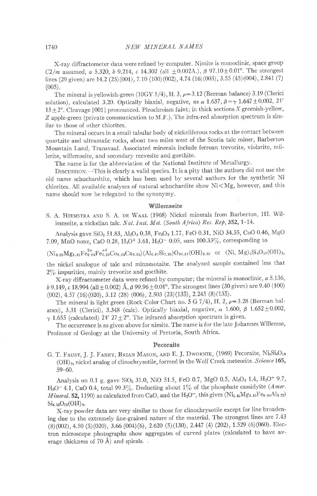X-ray diffractometer data were refined by computer. Nimite is monoclinic, space group C2/m assumed, a 5.320, b 9.214, c 14.302 (all  $\pm$ 0.002A.),  $\beta$  97.10 $\pm$ 0.01°. The strongest lines (29 given) are 14.2 (25)(001), 7.10 (100)(002), 4.74 (16)(003), 3.55 (45)(004), 2.841 (7)  $(005)$ .

The mineral is yellowish-green (10GY 5/4), H. 3,  $\rho = 3.12$  (Berman balance) 3.19 (Clerici solution), calculated 3.20. Optically biaxial, negative, ns  $\alpha$  1.637,  $\beta = \gamma$  1.647 ±0.002, 2V  $15±2°$ . Cleavage  ${001}$  pronounced. Pleochroism faint; in thick sections X greenish-yellow, Z apple-green (private communication to M F.). The infra-red absorption spectrum is similar to those of other chlorites

The mineral occurs in a small tabular body of nickeliferous rocks at the contact between quartzite and ultramafic rocks, about two miles west of the Scotia talc miner, Barberton Mountain Land, Transvaal Associated minerals include ferroan trevorite, violarite, mil-Ierite, willemseite, and secondary reevesite and goethite.

The name is for the abbreviation of the National Institute of Metallurgy.

DISCUSSION.-This is clearly a valid species. It is a pity that the authors did not use the old name schuchardtite, which has been used by severai authors for the synthetic Ni chlorites. All available analyses of natural schuchardite show  $Ni\!<\!Mg,$  however, and this name should now be relegated to the synonymy.

# Willemseite

S. A. HIEMSTRA AND S. A. DE WAAL (1968) Nickel minerals from Barberton, III. Willemseite, a nickelian talc. Nat. Inst. Met. (South Africa) Res. Rep, 352, 1-14.

Analysis gave SiO<sub>2</sub> 51.83, Al<sub>2</sub>O<sub>3</sub> 0.38, Fe<sub>2</sub>O<sub>3</sub> 1.77, FeO 0.31, NiO 34.55, CoO 0.46, MgO 7.09, MnO none, CaO 0.28, H<sub>2</sub>O<sup>+</sup> 3.61, H<sub>2</sub>O<sup>-</sup> 0.05, sum 100.33%, corresponding to

 $(Ni_{4,23}Mg_{1.61}Fe_{0.94}^{2+}Fe_{0.20}^{+3}Co_{0.06}Ca_{0.05})(Al_{0.07}Si_{7.89})O_{20.33}(OH)_{3.67}$  or  $(Ni, Mg)_{3}Si_{4}O_{10}(OH)_{2,9}$ 

the nickel analogue of talc and minnesotaite. The analyzed sample contained less that  $2\%$  impurities, mainly trevorite and goethite.

X-ray difiractometer data were refined by computer; the mineral is monoclinic, a 5.736,  $b$  9.149, c 18.994 (all  $\pm$  0.002) Å,  $\beta$  99.96 $\pm$  0.01°. The strongest lines (30 given) are 9.40 (100) (002),4.s7 (16)(020), 3.r2 (28) (006), 2.s03 (23)(133), 2.2+s (8)(135).

The mineral is light green (Rock Color Chart no. 5 G  $7/4$ ), H. 2,  $\rho=3.28$  (Berman balance), 3.31 (Clerici), 3.348 (calc). Optically biaxial, negative,  $\alpha$  1.600,  $\beta$  1.652 ± 0.002,  $\gamma$  1.655 (calculated) 2V 27 ± 2°. The infrared absorption spectrum is given.

The occurrence is as given above for nimite. The name is for the late Johannes Willemse, Professor of Geology at the University of Pretoria, South Africa.

#### Pecoraite

G. T. FAUST, J. J. FAHEY, BRIAN MASON, AND E. J. DWORNIK, (1969) Pecoraite, Ni<sub>6</sub>Si<sub>4</sub>O<sub>10</sub> (OH)<sub>8</sub>, nickel analog of clinochrysotile, formed in the Wolf Creek meteorite. Science 165, 59-60.

Analysis on 0.1 g. gave SiO<sub>2</sub> 31.0, NiO 51.5, FeO 0.7, MgO 0.5, Al<sub>2</sub>O<sub>3</sub> 1.4, H<sub>2</sub>O<sup>+</sup> 9.7, H<sub>2</sub>O<sup>-</sup> 4.1, CaO 0.4, total 99.3%. Deducting about 1% of the phosphate cassidyite (Amer. *Mineral*. 52, 1190) as calculated from CaO, and the H<sub>2</sub>O<sup>-</sup>, this gives (Ni<sub>5</sub>,  $_4$ Mg<sub>0.10</sub>Fe<sub>0.08</sub>Al<sub>0.22</sub>)  $Si<sub>4.05</sub>O<sub>10</sub>(OH)<sub>8</sub>.$ 

X-ray powder data are very similar to those for clinochrysotile except for line broadening due to the extremely fine-grained nature of the material. The strongest lines are 7.43 (8)(002), 4.50 (5)(020), 3.66 (004)(6), 2.620 (5)(130), 2.447 (4) (202), 1.529 (6)(060). Electron microscope photographs show aggregates of curved plates (calculated to have average thickness of 70 Å) and spirals.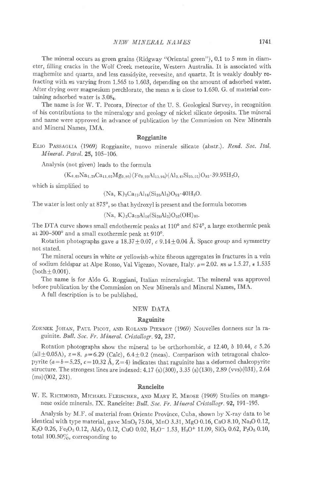The mineral occurs as green grains (Ridgway "Oriental green"), 0.1 to 5 mm in diameter, filling cracks in the Wolf Creek meteorite, Western Australia. It is associated with maghemite and quartz, and less cassidyite, reevesite, and quartz It is weakly doubly refracting with ns varying from 1.565 to 1.603, depending on the amount of adsorbed water. After drying over magnesium perchlorate, the mean  $n$  is close to 1.650. G. of material containing adsorbed water is  $3.08<sub>4</sub>$ .

The name is for W. T. Pecora, Director of the U. S. Geological Survey, in recognition of his contributions to the mineralogy and geology of nickel silicate deposits. The mineral and name were approved in advance of publication by the Commission on New Minerals and Mineral Names, IMA.

# Roggianite

ELIO PASSAGLIA (1969) Roggianite, nuovo minerale silicate (abstr.). Rend. Soc. Ital. Mineral. Petrol. 25, 105-106.

Analysis (not given) leads to the formula

$$
(K_{0.67}Na_{1.28}Ca_{11.02}Mg_{0.90})(Fe_{0.22}Al_{15.96})(Al_{2.43}Si_{25.57})O_{92}\cdot 39.95H_{2}O,
$$

which is simplified to

## $(Na, K)_2Ca_{12}Al_{16}(Si_{26}Al_2)O_{92}\cdot 40H_2O.$

The water is lost only at 875°, so that hydroxyl is present and the formula becomes

$$
(Na, K)_2 Ca_{12}Al_{16}(Si_{26}Al_2)O_{52}(OH)_{80}.
$$

The DTA curve shows small endothermic peaks at  $110^{\circ}$  and  $874^{\circ}$ , a large exothermic peak at  $200-500^{\circ}$  and a small exothermic peak at  $910^{\circ}$ .

Rotation photographs gave a  $18.37 \pm 0.07$ , c  $9.14 \pm 0.04$  Å. Space group and symmetry not stated.

The mineral occurs in white or yellowish-white fibrous aggregates in fractures in a vein of sodium feldspar at Alpe Rosso, Val Vigezzo, Novare, Italy.  $\rho = 2.02$ . ns  $\omega$  1.5.27,  $\epsilon$  1.535  $(both  $\pm 0.001$ ).$ 

The name is for Aldo G. Roggiani, Italian mineralogist. The mineral was approved before publication by the Commission on New Minerals and Mineral Names, IMA.

A full description is to be published.

### NEW DATA

### Raguinite

ZDENEK JOHAN, PAUL PICOT, AND ROLAND PIERROT (1969) Nouvelles donnees sur la raguinite. Bull. Soc. Fr. Mineral. Cristallogr. 92, 237.

Rotation photographs show the mineral to be orthorhombic,  $a$  12.40,  $b$  10.44,  $c$  5.26 (all $\pm$ 0.05A), z=8.  $\rho$ =6.29 (Calc), 6.4 $\pm$ 0.2 (meas). Comparison with tetragonal chalcopyrite  $(a = b = 5.25, c = 10.32 \text{ Å}, Z=4)$  indicates that raguinite has a deformed chalcopyrite structure. The strongest lines are indexed:  $4.17$  (s)(300), 3.35 (s)(130), 2.89 (vvs)(031), 2.64 (ms)(002, 231).

#### Rancieite

W. E. RICHMOND, MICHAEL FLEISCHER, AND MARY E. MROSE (1969) Studies on manganese oxide minerals. IX. Rancieite: Bull. Soc. Fr. Mineral Cristallogr. 92, 191-195.

Analysis by M.Ir. of material from Oriente Province, Cuba, shown by X-ray data to be identical with type material, gave  $MnO<sub>2</sub>$  75.04, MnO 3.31, MgO 0.16, CaO 8.10, Na<sub>2</sub>O 0.12, K<sub>2</sub>O 0.26, Fe<sub>2</sub>O<sub>3</sub> 0.12, Al<sub>2</sub>O<sub>3</sub> 0.12, CuO 0.02, H<sub>2</sub>O<sup>-</sup> 1.53, H<sub>2</sub>O<sup>+</sup> 11.09, SiO<sub>2</sub> 0.62, P<sub>2</sub>O<sub>5</sub> 0.10, total  $100.50\%$ , corresponding to